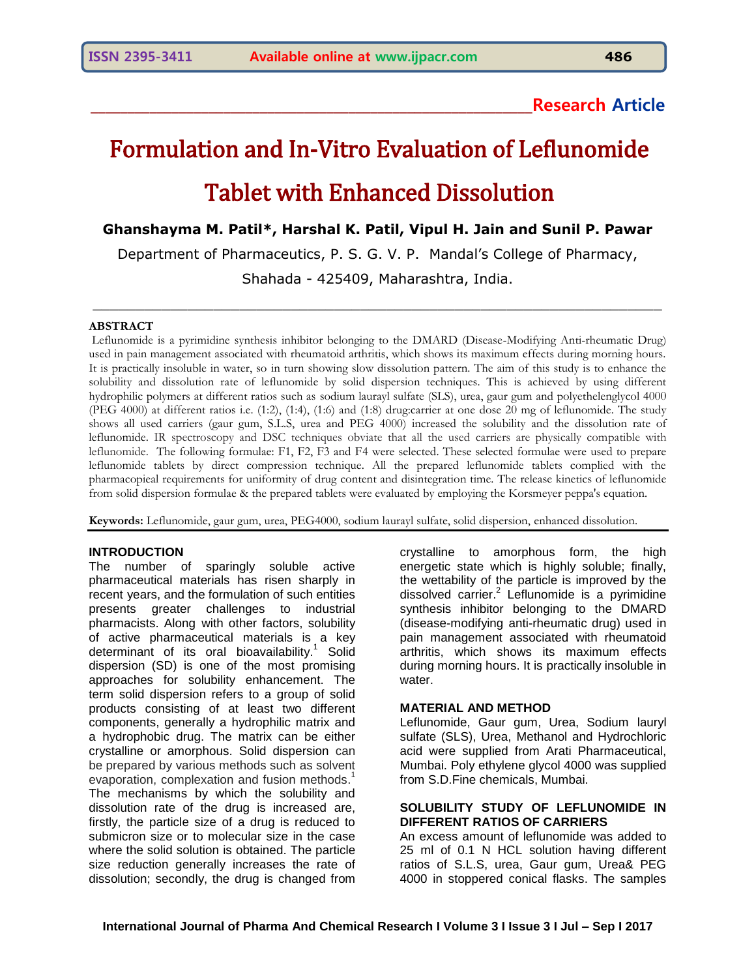# **\_\_\_\_\_\_\_\_\_\_\_\_\_\_\_\_\_\_\_\_\_\_\_\_\_\_\_\_\_\_\_\_\_\_\_\_\_\_\_\_\_\_\_\_\_\_\_\_\_\_\_\_\_\_\_\_\_\_\_\_Research Article**

# Formulation and In-Vitro Evaluation of Leflunomide Tablet with Enhanced Dissolution

**Ghanshayma M. Patil\*, Harshal K. Patil, Vipul H. Jain and Sunil P. Pawar**

Department of Pharmaceutics, P. S. G. V. P. Mandal's College of Pharmacy,

Shahada - 425409, Maharashtra, India.

 $\_$  , and the set of the set of the set of the set of the set of the set of the set of the set of the set of the set of the set of the set of the set of the set of the set of the set of the set of the set of the set of th

# **ABSTRACT**

Leflunomide is a pyrimidine synthesis inhibitor belonging to the DMARD (Disease-Modifying Anti-rheumatic Drug) used in pain management associated with rheumatoid arthritis, which shows its maximum effects during morning hours. It is practically insoluble in water, so in turn showing slow dissolution pattern. The aim of this study is to enhance the solubility and dissolution rate of leflunomide by solid dispersion techniques. This is achieved by using different hydrophilic polymers at different ratios such as sodium laurayl sulfate (SLS), urea, gaur gum and polyethelenglycol 4000 (PEG 4000) at different ratios i.e. (1:2), (1:4), (1:6) and (1:8) drug:carrier at one dose 20 mg of leflunomide. The study shows all used carriers (gaur gum, S.L.S, urea and PEG 4000) increased the solubility and the dissolution rate of leflunomide. IR spectroscopy and DSC techniques obviate that all the used carriers are physically compatible with leflunomide. The following formulae: F1, F2, F3 and F4 were selected. These selected formulae were used to prepare leflunomide tablets by direct compression technique. All the prepared leflunomide tablets complied with the pharmacopieal requirements for uniformity of drug content and disintegration time. The release kinetics of leflunomide from solid dispersion formulae & the prepared tablets were evaluated by employing the Korsmeyer peppa's equation.

**Keywords:** Leflunomide, gaur gum, urea, PEG4000, sodium laurayl sulfate, solid dispersion, enhanced dissolution.

# **INTRODUCTION**

The number of sparingly soluble active pharmaceutical materials has risen sharply in recent years, and the formulation of such entities presents greater challenges to industrial pharmacists. Along with other factors, solubility of active pharmaceutical materials is a key determinant of its oral bioavailability.<sup>1</sup> Solid dispersion (SD) is one of the most promising approaches for solubility enhancement. The term solid dispersion refers to a group of solid products consisting of at least two different components, generally a hydrophilic matrix and a hydrophobic drug. The matrix can be either crystalline or amorphous. Solid dispersion can be prepared by various methods such as solvent evaporation, complexation and fusion methods.<sup>1</sup> The mechanisms by which the solubility and dissolution rate of the drug is increased are, firstly, the particle size of a drug is reduced to submicron size or to molecular size in the case where the solid solution is obtained. The particle size reduction generally increases the rate of dissolution; secondly, the drug is changed from

crystalline to amorphous form, the high energetic state which is highly soluble; finally, the wettability of the particle is improved by the dissolved carrier.<sup>2</sup> Leflunomide is a pyrimidine synthesis inhibitor belonging to the DMARD (disease-modifying anti-rheumatic drug) used in pain management associated with rheumatoid arthritis, which shows its maximum effects during morning hours. It is practically insoluble in water.

# **MATERIAL AND METHOD**

Leflunomide, Gaur gum, Urea, Sodium lauryl sulfate (SLS), Urea, Methanol and Hydrochloric acid were supplied from Arati Pharmaceutical, Mumbai. Poly ethylene glycol 4000 was supplied from S.D.Fine chemicals, Mumbai.

# **SOLUBILITY STUDY OF LEFLUNOMIDE IN DIFFERENT RATIOS OF CARRIERS**

An excess amount of leflunomide was added to 25 ml of 0.1 N HCL solution having different ratios of S.L.S, urea, Gaur gum, Urea& PEG 4000 in stoppered conical flasks. The samples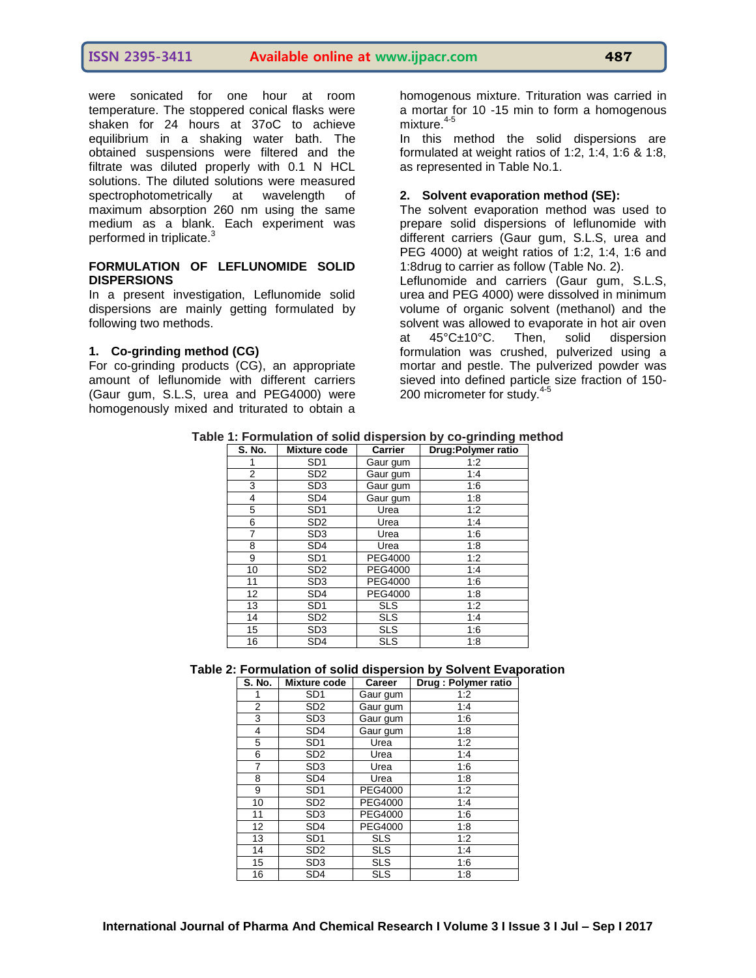were sonicated for one hour at room temperature. The stoppered conical flasks were shaken for 24 hours at 37oC to achieve equilibrium in a shaking water bath. The obtained suspensions were filtered and the filtrate was diluted properly with 0.1 N HCL solutions. The diluted solutions were measured spectrophotometrically at wavelength of maximum absorption 260 nm using the same medium as a blank. Each experiment was performed in triplicate.<sup>3</sup>

# **FORMULATION OF LEFLUNOMIDE SOLID DISPERSIONS**

In a present investigation, Leflunomide solid dispersions are mainly getting formulated by following two methods.

# **1. Co-grinding method (CG)**

For co-grinding products (CG), an appropriate amount of leflunomide with different carriers (Gaur gum, S.L.S, urea and PEG4000) were homogenously mixed and triturated to obtain a

homogenous mixture. Trituration was carried in a mortar for 10 -15 min to form a homogenous mixture.<sup>4-5</sup>

In this method the solid dispersions are formulated at weight ratios of 1:2, 1:4, 1:6 & 1:8, as represented in Table No.1.

# **2. Solvent evaporation method (SE):**

The solvent evaporation method was used to prepare solid dispersions of leflunomide with different carriers (Gaur gum, S.L.S, urea and PEG 4000) at weight ratios of 1:2, 1:4, 1:6 and 1:8drug to carrier as follow (Table No. 2).

Leflunomide and carriers (Gaur gum, S.L.S, urea and PEG 4000) were dissolved in minimum volume of organic solvent (methanol) and the solvent was allowed to evaporate in hot air oven<br>at 45°C±10°C. Then, solid dispersion at 45°C±10°C. Then, solid dispersion formulation was crushed, pulverized using a mortar and pestle. The pulverized powder was sieved into defined particle size fraction of 150- 200 micrometer for study.<sup>4-5</sup>

| Table 1: Formulation of solid dispersion by co-grinding method |
|----------------------------------------------------------------|
|----------------------------------------------------------------|

| S. No.         | Mixture code    | Carrier        | Drug: Polymer ratio |
|----------------|-----------------|----------------|---------------------|
| 1              | SD <sub>1</sub> | Gaur gum       | 1:2                 |
| $\overline{2}$ | SD <sub>2</sub> | Gaur gum       | 1:4                 |
| 3              | SD <sub>3</sub> | Gaur gum       | 1:6                 |
| 4              | SD <sub>4</sub> | Gaur gum       | 1:8                 |
| 5              | SD <sub>1</sub> | Urea           | 1:2                 |
| 6              | SD <sub>2</sub> | Urea           | 1:4                 |
| 7              | SD <sub>3</sub> | Urea           | 1:6                 |
| 8              | SD <sub>4</sub> | Urea           | 1:8                 |
| 9              | SD <sub>1</sub> | PEG4000        | 1:2                 |
| 10             | SD <sub>2</sub> | PEG4000        | 1:4                 |
| 11             | SD <sub>3</sub> | PEG4000        | 1:6                 |
| 12             | SD <sub>4</sub> | <b>PEG4000</b> | 1:8                 |
| 13             | SD <sub>1</sub> | <b>SLS</b>     | 1:2                 |
| 14             | SD <sub>2</sub> | <b>SLS</b>     | 1:4                 |
| 15             | SD <sub>3</sub> | <b>SLS</b>     | 1:6                 |
| 16             | SD <sub>4</sub> | <b>SLS</b>     | 1:8                 |

# **Table 2: Formulation of solid dispersion by Solvent Evaporation**

| <b>S. No.</b> | Mixture code    | Career     | Drug : Polymer ratio |
|---------------|-----------------|------------|----------------------|
|               | SD <sub>1</sub> | Gaur gum   | 1:2                  |
| 2             | SD <sub>2</sub> | Gaur gum   | 1:4                  |
| 3             | SD <sub>3</sub> | Gaur gum   | 1:6                  |
| 4             | SD <sub>4</sub> | Gaur gum   | 1:8                  |
| 5             | SD <sub>1</sub> | Urea       | 1:2                  |
| 6             | SD <sub>2</sub> | Urea       | 1:4                  |
| 7             | SD <sub>3</sub> | Urea       | 1:6                  |
| 8             | SD <sub>4</sub> | Urea       | 1:8                  |
| 9             | SD <sub>1</sub> | PEG4000    | 1:2                  |
| 10            | SD <sub>2</sub> | PEG4000    | 1:4                  |
| 11            | SD <sub>3</sub> | PEG4000    | 1:6                  |
| 12            | SD <sub>4</sub> | PEG4000    | 1:8                  |
| 13            | SD <sub>1</sub> | <b>SLS</b> | 1:2                  |
| 14            | SD <sub>2</sub> | <b>SLS</b> | 1:4                  |
| 15            | SD <sub>3</sub> | <b>SLS</b> | 1:6                  |
| 16            | SD <sub>4</sub> | <b>SLS</b> | 1:8                  |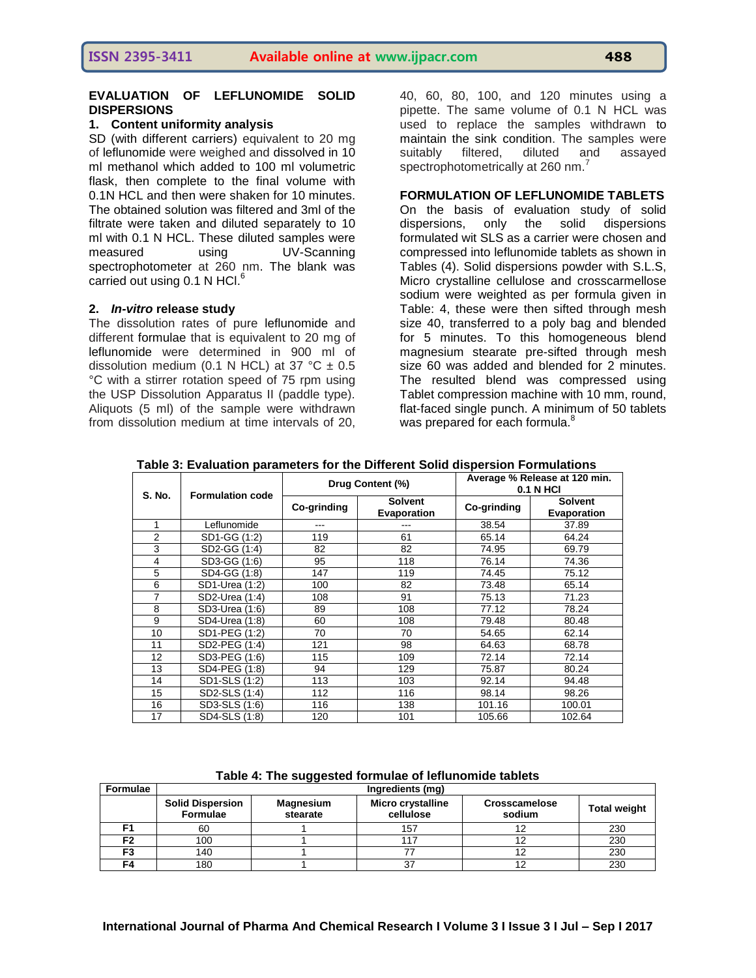# **ISSN 2395-3411 Available online at www.ijpacr.com 488**

# **EVALUATION OF LEFLUNOMIDE SOLID DISPERSIONS**

# **1. Content uniformity analysis**

SD (with different carriers) equivalent to 20 mg of leflunomide were weighed and dissolved in 10 ml methanol which added to 100 ml volumetric flask, then complete to the final volume with 0.1N HCL and then were shaken for 10 minutes. The obtained solution was filtered and 3ml of the filtrate were taken and diluted separately to 10 ml with 0.1 N HCL. These diluted samples were<br>measured using UV-Scanning measured using UV-Scanning spectrophotometer at 260 nm. The blank was carried out using 0.1 N HCl.<sup>6</sup>

# **2.** *In-vitro* **release study**

The dissolution rates of pure leflunomide and different formulae that is equivalent to 20 mg of leflunomide were determined in 900 ml of dissolution medium (0.1 N HCL) at 37 °C  $\pm$  0.5 °C with a stirrer rotation speed of 75 rpm using the USP Dissolution Apparatus II (paddle type). Aliquots (5 ml) of the sample were withdrawn from dissolution medium at time intervals of 20,

40, 60, 80, 100, and 120 minutes using a pipette. The same volume of 0.1 N HCL was used to replace the samples withdrawn to maintain the sink condition. The samples were suitably filtered, diluted and assayed spectrophotometrically at 260 nm.<sup>7</sup>

# **FORMULATION OF LEFLUNOMIDE TABLETS**

On the basis of evaluation study of solid dispersions, only the solid dispersions formulated wit SLS as a carrier were chosen and compressed into leflunomide tablets as shown in Tables (4). Solid dispersions powder with S.L.S, Micro crystalline cellulose and crosscarmellose sodium were weighted as per formula given in Table: 4, these were then sifted through mesh size 40, transferred to a poly bag and blended for 5 minutes. To this homogeneous blend magnesium stearate pre-sifted through mesh size 60 was added and blended for 2 minutes. The resulted blend was compressed using Tablet compression machine with 10 mm, round, flat-faced single punch. A minimum of 50 tablets was prepared for each formula.<sup>8</sup>

| <b>S. No.</b>     | <b>Formulation code</b> | Drug Content (%) |                               | Average % Release at 120 min.<br><b>0.1 N HCI</b> |                               |  |
|-------------------|-------------------------|------------------|-------------------------------|---------------------------------------------------|-------------------------------|--|
|                   |                         | Co-grinding      | <b>Solvent</b><br>Evaporation | Co-grinding                                       | <b>Solvent</b><br>Evaporation |  |
| 1                 | Leflunomide             |                  |                               | 38.54                                             | 37.89                         |  |
| 2                 | SD1-GG (1:2)            | 119              | 61                            | 65.14                                             | 64.24                         |  |
| 3                 | SD2-GG (1:4)            | 82               | 82                            | 74.95                                             | 69.79                         |  |
| 4                 | SD3-GG (1:6)            | 95               | 118                           | 76.14                                             | 74.36                         |  |
| 5                 | SD4-GG (1:8)            | 147              | 119                           | 74.45                                             | 75.12                         |  |
| 6                 | SD1-Urea (1:2)          | 100              | 82                            | 73.48                                             | 65.14                         |  |
| 7                 | SD2-Urea (1:4)          | 108              | 91                            | 75.13                                             | 71.23                         |  |
| 8                 | SD3-Urea (1:6)          | 89               | 108                           | 77.12                                             | 78.24                         |  |
| 9                 | SD4-Urea (1:8)          | 60               | 108                           | 79.48                                             | 80.48                         |  |
| 10                | SD1-PEG (1:2)           | 70               | 70                            | 54.65                                             | 62.14                         |  |
| 11                | SD2-PEG (1:4)           | 121              | 98                            | 64.63                                             | 68.78                         |  |
| $12 \overline{ }$ | SD3-PEG (1:6)           | 115              | 109                           | 72.14                                             | 72.14                         |  |
| 13                | SD4-PEG (1:8)           | 94               | 129                           | 75.87                                             | 80.24                         |  |
| 14                | SD1-SLS (1:2)           | 113              | 103                           | 92.14                                             | 94.48                         |  |
| 15                | SD2-SLS (1:4)           | 112              | 116                           | 98.14                                             | 98.26                         |  |
| 16                | SD3-SLS (1:6)           | 116              | 138                           | 101.16                                            | 100.01                        |  |
| 17                | SD4-SLS (1:8)           | 120              | 101                           | 105.66                                            | 102.64                        |  |

**Table 3: Evaluation parameters for the Different Solid dispersion Formulations**

**Table 4: The suggested formulae of leflunomide tablets**

| Formulae | Ingredients (mg)                           |                              |                                |                                |                     |  |  |
|----------|--------------------------------------------|------------------------------|--------------------------------|--------------------------------|---------------------|--|--|
|          | <b>Solid Dispersion</b><br><b>Formulae</b> | <b>Magnesium</b><br>stearate | Micro crystalline<br>cellulose | <b>Crosscamelose</b><br>sodium | <b>Total weight</b> |  |  |
|          | 60                                         |                              | 157                            |                                | 230                 |  |  |
| F2       | 100                                        |                              |                                |                                | 230                 |  |  |
| F3       | 140                                        |                              |                                |                                | 230                 |  |  |
| F4       | 180                                        |                              |                                |                                | 230                 |  |  |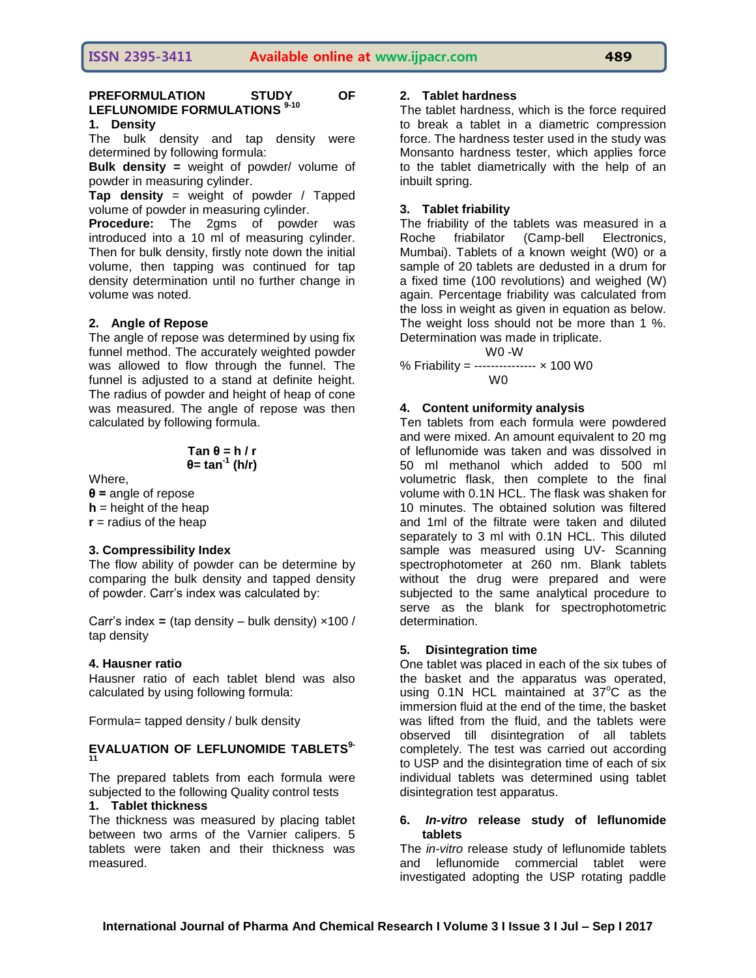# **PREFORMULATION STUDY OF LEFLUNOMIDE FORMULATIONS 9-10**

# **1. Density**

The bulk density and tap density were determined by following formula:

**Bulk density =** weight of powder/ volume of powder in measuring cylinder.

**Tap density** = weight of powder / Tapped volume of powder in measuring cylinder.

**Procedure:** The 2gms of powder was introduced into a 10 ml of measuring cylinder. Then for bulk density, firstly note down the initial volume, then tapping was continued for tap density determination until no further change in volume was noted.

# **2. Angle of Repose**

The angle of repose was determined by using fix funnel method. The accurately weighted powder was allowed to flow through the funnel. The funnel is adjusted to a stand at definite height. The radius of powder and height of heap of cone was measured. The angle of repose was then calculated by following formula.

**Tan θ = h / r θ= tan-1 (h/r)**

Where,

**θ =** angle of repose **h** = height of the heap  $r =$  radius of the heap

# **3. Compressibility Index**

The flow ability of powder can be determine by comparing the bulk density and tapped density of powder. Carr's index was calculated by:

Carr's index  $=$  (tap density – bulk density)  $\times$ 100 / tap density

# **4. Hausner ratio**

Hausner ratio of each tablet blend was also calculated by using following formula:

Formula= tapped density / bulk density

# **EVALUATION OF LEFLUNOMIDE TABLETS9- 11**

The prepared tablets from each formula were subjected to the following Quality control tests

# **1. Tablet thickness**

The thickness was measured by placing tablet between two arms of the Varnier calipers. 5 tablets were taken and their thickness was measured.

# **2. Tablet hardness**

The tablet hardness, which is the force required to break a tablet in a diametric compression force. The hardness tester used in the study was Monsanto hardness tester, which applies force to the tablet diametrically with the help of an inbuilt spring.

# **3. Tablet friability**

The friability of the tablets was measured in a Roche friabilator (Camp-bell Electronics, Mumbai). Tablets of a known weight (W0) or a sample of 20 tablets are dedusted in a drum for a fixed time (100 revolutions) and weighed (W) again. Percentage friability was calculated from the loss in weight as given in equation as below. The weight loss should not be more than 1 %. Determination was made in triplicate.

W0 -W

% Friability = --------------- × 100 W0 W0

# **4. Content uniformity analysis**

Ten tablets from each formula were powdered and were mixed. An amount equivalent to 20 mg of leflunomide was taken and was dissolved in 50 ml methanol which added to 500 ml volumetric flask, then complete to the final volume with 0.1N HCL. The flask was shaken for 10 minutes. The obtained solution was filtered and 1ml of the filtrate were taken and diluted separately to 3 ml with 0.1N HCL. This diluted sample was measured using UV- Scanning spectrophotometer at 260 nm. Blank tablets without the drug were prepared and were subjected to the same analytical procedure to serve as the blank for spectrophotometric determination.

# **5. Disintegration time**

One tablet was placed in each of the six tubes of the basket and the apparatus was operated, using  $0.1N$  HCL maintained at  $37^{\circ}$ C as the immersion fluid at the end of the time, the basket was lifted from the fluid, and the tablets were observed till disintegration of all tablets completely. The test was carried out according to USP and the disintegration time of each of six individual tablets was determined using tablet disintegration test apparatus.

# **6.** *In-vitro* **release study of leflunomide tablets**

The *in-vitro* release study of leflunomide tablets and leflunomide commercial tablet were investigated adopting the USP rotating paddle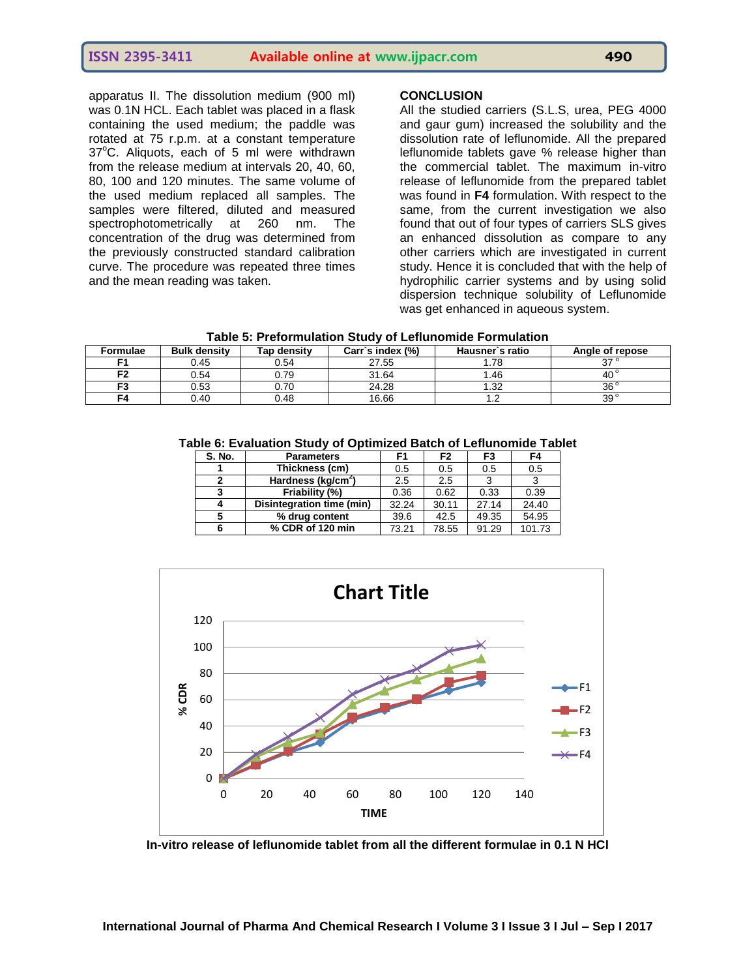apparatus II. The dissolution medium (900 ml) was 0.1N HCL. Each tablet was placed in a flask containing the used medium; the paddle was rotated at 75 r.p.m. at a constant temperature  $37^{\circ}$ C. Aliquots, each of 5 ml were withdrawn from the release medium at intervals 20, 40, 60, 80, 100 and 120 minutes. The same volume of the used medium replaced all samples. The samples were filtered, diluted and measured spectrophotometrically at 260 nm. The concentration of the drug was determined from the previously constructed standard calibration curve. The procedure was repeated three times and the mean reading was taken.

# **CONCLUSION**

All the studied carriers (S.L.S, urea, PEG 4000 and gaur gum) increased the solubility and the dissolution rate of leflunomide. All the prepared leflunomide tablets gave % release higher than the commercial tablet. The maximum in-vitro release of leflunomide from the prepared tablet was found in **F4** formulation. With respect to the same, from the current investigation we also found that out of four types of carriers SLS gives an enhanced dissolution as compare to any other carriers which are investigated in current study. Hence it is concluded that with the help of hydrophilic carrier systems and by using solid dispersion technique solubility of Leflunomide was get enhanced in aqueous system.

| Formulae | <b>Bulk density</b> | Tap densitv | Carr`s index (%) | Hausner's ratio | Angle of repose |
|----------|---------------------|-------------|------------------|-----------------|-----------------|
| Е1       | 0.45                | 0.54        | 27.55            | . 78            | ົ               |
| го       | 0.54                | 0.79        | 31.64            | .46             | 40              |
| F3       | 0.53                | 0.70        | 24.28            | 1.32            | 36°             |
| F4       | 0.40                | 0.48        | 16.66            | .،              | 39°             |

**Table 6: Evaluation Study of Optimized Batch of Leflunomide Tablet**

| S. No. | <b>Parameters</b>              | F1    | F <sub>2</sub> | F3    | F4     |
|--------|--------------------------------|-------|----------------|-------|--------|
|        | Thickness (cm)                 | 0.5   | 0.5            | 0.5   | 0.5    |
| 2      | Hardness (kg/cm <sup>2</sup> ) | 2.5   | 2.5            | 3     |        |
| 3      | Friability (%)                 | 0.36  | 0.62           | 0.33  | 0.39   |
|        | Disintegration time (min)      | 32.24 | 30.11          | 27.14 | 24.40  |
| 5      | % drug content                 | 39.6  | 42.5           | 49.35 | 54.95  |
|        | % CDR of 120 min               | 73.21 | 78.55          | 91.29 | 101.73 |



**In-vitro release of leflunomide tablet from all the different formulae in 0.1 N HCl**